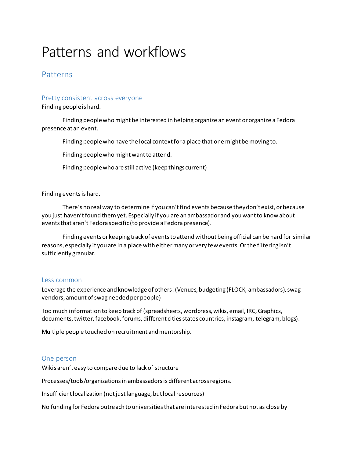# Patterns and workflows

### Patterns

### Pretty consistent across everyone

Finding people is hard.

Finding people who might be interested in helping organize an event or organize a Fedora presence at an event.

Finding people who have the local context for a place that one might be moving to.

Finding people who might want to attend.

Finding people who are still active (keep things current)

### Finding events is hard.

There's no real way to determine if you can't find events because they don't exist, or because you just haven't found them yet. Especially if you are an ambassador and you want to know about events that aren't Fedora specific (to provide a Fedora presence).

Finding events or keeping track of events to attend without being official can be hard for similar reasons, especially if you are in a place with either many or very few events. Or the filtering isn't sufficiently granular.

### Less common

Leverage the experience and knowledge of others! (Venues, budgeting (FLOCK, ambassadors), swag vendors, amount of swag needed per people)

Too much information to keep track of (spreadsheets, wordpress, wikis, email, IRC, Graphics, documents, twitter, facebook, forums, different cities states countries, instagram, telegram, blogs).

Multiple people touched on recruitment and mentorship.

### One person

Wikis aren't easy to compare due to lack of structure

Processes/tools/organizations in ambassadors is different across regions.

Insufficient localization (not just language, but local resources)

No funding for Fedora outreach to universities that are interested in Fedora but not as close by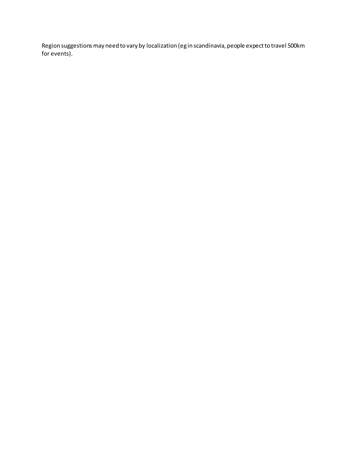Region suggestions may need to vary by localization (eg in scandinavia, people expect to travel 500km for events).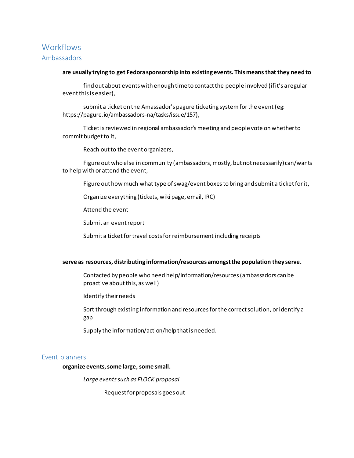## **Workflows** Ambassadors

### **are usually trying to get Fedora sponsorship into existing events. This means that they need to**

find out about events with enough time to contact the people involved (if it's a regular event this is easier),

submit a ticket on the Amassador's pagure ticketing system for the event(eg: https://pagure.io/ambassadors-na/tasks/issue/157),

Ticket is reviewed in regional ambassador's meeting and people vote on whether to commit budget to it,

Reach out to the event organizers,

Figure out who else in community (ambassadors, mostly, but not necessarily) can/wants to help with or attend the event,

Figure out how much what type of swag/event boxesto bring and submit a ticket for it,

Organize everything (tickets, wiki page, email, IRC)

Attend the event

Submit an event report

Submit a ticket for travel costs for reimbursement including receipts

### **serve as resources, distributing information/resources amongst the population they serve.**

Contacted by people who need help/information/resources(ambassadors can be proactive about this, as well)

Identify their needs

Sort through existing information and resources for the correct solution, or identify a gap

Supply the information/action/help that is needed.

### Event planners

**organize events, some large, some small.**

*Large events such as FLOCK proposal*

Request for proposals goes out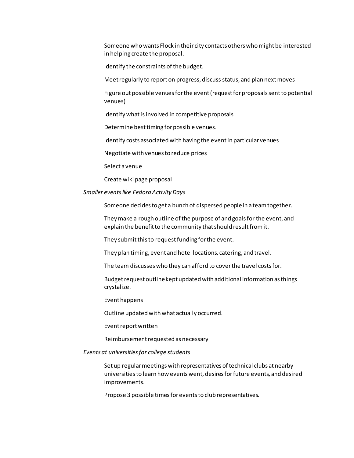Someone who wants Flock in their city contacts others who might be interested in helping create the proposal.

Identify the constraints of the budget.

Meet regularly to report on progress, discuss status, and plan next moves

Figure out possible venues for the event (request for proposals sent to potential venues)

Identify what is involved in competitive proposals

Determine best timing for possible venues.

Identify costs associated with having the event in particular venues

Negotiate with venues to reduce prices

Select a venue

Create wiki page proposal

*Smaller events like Fedora Activity Days*

Someone decides to get a bunch of dispersed people in a team together.

They make a rough outline of the purpose of and goals for the event, and explain the benefit to the community that should result from it.

They submit this to request funding for the event.

They plan timing, event and hotel locations, catering, and travel.

The team discusses who they can afford to cover the travel costs for.

Budget request outline kept updated with additional information as things crystalize.

Event happens

Outline updated with what actually occurred.

Event report written

Reimbursement requested as necessary

#### *Events at universitiesfor college students*

Set up regular meetings with representatives of technical clubs at nearby universities to learn how events went, desires for future events, and desired improvements.

Propose 3 possible times for events to club representatives.